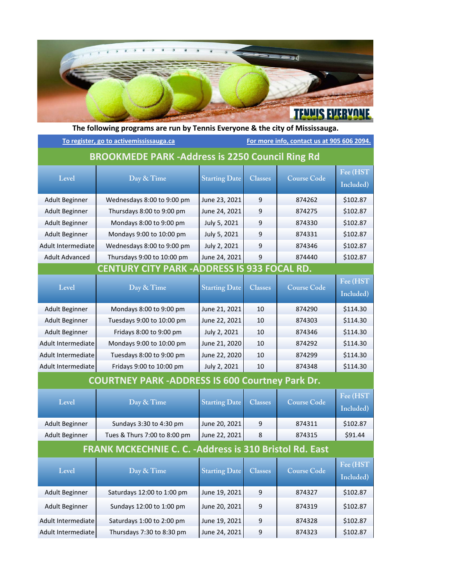

| The following programs are run by Termis Everyone & the city of Mississauga. |                              |                                            |                |                    |                       |  |  |  |  |
|------------------------------------------------------------------------------|------------------------------|--------------------------------------------|----------------|--------------------|-----------------------|--|--|--|--|
| To register, go to activemississauga.ca                                      |                              | For more info, contact us at 905 606 2094. |                |                    |                       |  |  |  |  |
| <b>BROOKMEDE PARK-Address is 2250 Council Ring Rd</b>                        |                              |                                            |                |                    |                       |  |  |  |  |
| Level                                                                        | Day & Time                   | <b>Starting Date</b>                       | <b>Classes</b> | <b>Course Code</b> | Fee (HST<br>Included) |  |  |  |  |
| <b>Adult Beginner</b>                                                        | Wednesdays 8:00 to 9:00 pm   | June 23, 2021                              | 9              | 874262             | \$102.87              |  |  |  |  |
| Adult Beginner                                                               | Thursdays 8:00 to 9:00 pm    | June 24, 2021                              | 9              | 874275             | \$102.87              |  |  |  |  |
| <b>Adult Beginner</b>                                                        | Mondays 8:00 to 9:00 pm      | July 5, 2021                               | 9              | 874330             | \$102.87              |  |  |  |  |
| <b>Adult Beginner</b>                                                        | Mondays 9:00 to 10:00 pm     | July 5, 2021                               | 9              | 874331             | \$102.87              |  |  |  |  |
| Adult Intermediate                                                           | Wednesdays 8:00 to 9:00 pm   | July 2, 2021                               | 9              | 874346             | \$102.87              |  |  |  |  |
| <b>Adult Advanced</b>                                                        | Thursdays 9:00 to 10:00 pm   | June 24, 2021                              | 9              | 874440             | \$102.87              |  |  |  |  |
| <b>CENTURY CITY PARK -ADDRESS IS 933 FOCAL RD.</b>                           |                              |                                            |                |                    |                       |  |  |  |  |
| Level                                                                        | Day & Time                   | <b>Starting Date</b>                       | <b>Classes</b> | <b>Course Code</b> | Fee (HST              |  |  |  |  |
|                                                                              |                              |                                            |                |                    | Included)             |  |  |  |  |
| <b>Adult Beginner</b>                                                        | Mondays 8:00 to 9:00 pm      | June 21, 2021                              | 10             | 874290             | \$114.30              |  |  |  |  |
| <b>Adult Beginner</b>                                                        | Tuesdays 9:00 to 10:00 pm    | June 22, 2021                              | 10             | 874303             | \$114.30              |  |  |  |  |
| <b>Adult Beginner</b>                                                        | Fridays 8:00 to 9:00 pm      | July 2, 2021                               | 10             | 874346             | \$114.30              |  |  |  |  |
| Adult Intermediate                                                           | Mondays 9:00 to 10:00 pm     | June 21, 2020                              | 10             | 874292             | \$114.30              |  |  |  |  |
| Adult Intermediate                                                           | Tuesdays 8:00 to 9:00 pm     | June 22, 2020                              | 10             | 874299             | \$114.30              |  |  |  |  |
| Adult Intermediate                                                           | Fridays 9:00 to 10:00 pm     | July 2, 2021                               | 10             | 874348             | \$114.30              |  |  |  |  |
| <b>COURTNEY PARK-ADDRESS IS 600 Courtney Park Dr.</b>                        |                              |                                            |                |                    |                       |  |  |  |  |
| Level                                                                        | Day & Time                   | <b>Starting Date</b>                       | <b>Classes</b> | <b>Course Code</b> | Fee (HST<br>Included) |  |  |  |  |
| <b>Adult Beginner</b>                                                        | Sundays 3:30 to 4:30 pm      | June 20, 2021                              | 9              | 874311             | \$102.87              |  |  |  |  |
| Adult Beginner                                                               | Tues & Thurs 7:00 to 8:00 pm | June 22, 2021                              | 8              | 874315             | \$91.44               |  |  |  |  |
| <b>FRANK MCKECHNIE C. C. - Address is 310 Bristol Rd. East</b>               |                              |                                            |                |                    |                       |  |  |  |  |
| Level                                                                        | Day & Time                   | <b>Starting Date</b>                       | <b>Classes</b> | <b>Course Code</b> | Fee (HST<br>Included) |  |  |  |  |
| Adult Beginner                                                               | Saturdays 12:00 to 1:00 pm   | June 19, 2021                              | 9              | 874327             | \$102.87              |  |  |  |  |
| Adult Beginner                                                               | Sundays 12:00 to 1:00 pm     | June 20, 2021                              | 9              | 874319             | \$102.87              |  |  |  |  |
| Adult Intermediate                                                           | Saturdays 1:00 to 2:00 pm    | June 19, 2021                              | 9              | 874328             | \$102.87              |  |  |  |  |
| Adult Intermediate                                                           | Thursdays 7:30 to 8:30 pm    | June 24, 2021                              | 9              | 874323             | \$102.87              |  |  |  |  |